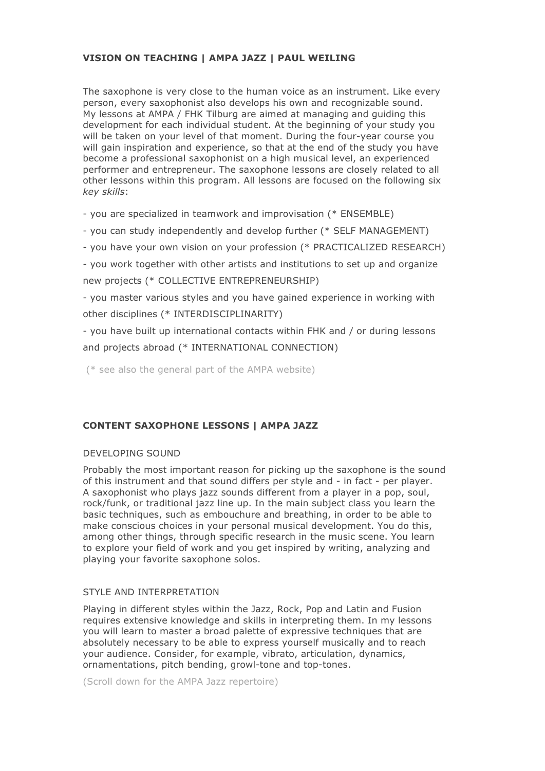## **VISION ON TEACHING | AMPA JAZZ | PAUL WEILING**

The saxophone is very close to the human voice as an instrument. Like every person, every saxophonist also develops his own and recognizable sound. My lessons at AMPA / FHK Tilburg are aimed at managing and guiding this development for each individual student. At the beginning of your study you will be taken on your level of that moment. During the four-year course you will gain inspiration and experience, so that at the end of the study you have become a professional saxophonist on a high musical level, an experienced performer and entrepreneur. The saxophone lessons are closely related to all other lessons within this program. All lessons are focused on the following six *key skills*:

- you are specialized in teamwork and improvisation (\* ENSEMBLE)

- you can study independently and develop further (\* SELF MANAGEMENT)

- you have your own vision on your profession (\* PRACTICALIZED RESEARCH)

- you work together with other artists and institutions to set up and organize new projects (\* COLLECTIVE ENTREPRENEURSHIP)

- you master various styles and you have gained experience in working with other disciplines (\* INTERDISCIPLINARITY)

- you have built up international contacts within FHK and / or during lessons and projects abroad (\* INTERNATIONAL CONNECTION)

(\* see also the general part of the AMPA website)

## **CONTENT SAXOPHONE LESSONS | AMPA JAZZ**

### DEVELOPING SOUND

Probably the most important reason for picking up the saxophone is the sound of this instrument and that sound differs per style and - in fact - per player. A saxophonist who plays jazz sounds different from a player in a pop, soul, rock/funk, or traditional jazz line up. In the main subject class you learn the basic techniques, such as embouchure and breathing, in order to be able to make conscious choices in your personal musical development. You do this, among other things, through specific research in the music scene. You learn to explore your field of work and you get inspired by writing, analyzing and playing your favorite saxophone solos.

### STYLE AND INTERPRETATION

Playing in different styles within the Jazz, Rock, Pop and Latin and Fusion requires extensive knowledge and skills in interpreting them. In my lessons you will learn to master a broad palette of expressive techniques that are absolutely necessary to be able to express yourself musically and to reach your audience. Consider, for example, vibrato, articulation, dynamics, ornamentations, pitch bending, growl-tone and top-tones.

(Scroll down for the AMPA Jazz repertoire)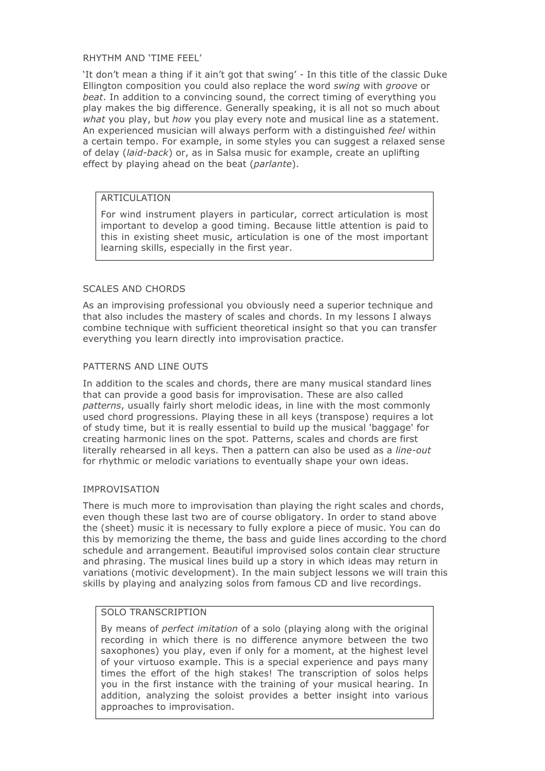### RHYTHM AND 'TIME FEEL'

'It don't mean a thing if it ain't got that swing' - In this title of the classic Duke Ellington composition you could also replace the word *swing* with *groove* or *beat*. In addition to a convincing sound, the correct timing of everything you play makes the big difference. Generally speaking, it is all not so much about *what* you play, but *how* you play every note and musical line as a statement. An experienced musician will always perform with a distinguished *feel* within a certain tempo. For example, in some styles you can suggest a relaxed sense of delay (*laid-back*) or, as in Salsa music for example, create an uplifting effect by playing ahead on the beat (*parlante*).

### **ARTICULATION**

For wind instrument players in particular, correct articulation is most important to develop a good timing. Because little attention is paid to this in existing sheet music, articulation is one of the most important learning skills, especially in the first year.

### SCALES AND CHORDS

As an improvising professional you obviously need a superior technique and that also includes the mastery of scales and chords. In my lessons I always combine technique with sufficient theoretical insight so that you can transfer everything you learn directly into improvisation practice.

## PATTERNS AND LINE OUTS

In addition to the scales and chords, there are many musical standard lines that can provide a good basis for improvisation. These are also called *patterns*, usually fairly short melodic ideas, in line with the most commonly used chord progressions. Playing these in all keys (transpose) requires a lot of study time, but it is really essential to build up the musical 'baggage' for creating harmonic lines on the spot. Patterns, scales and chords are first literally rehearsed in all keys. Then a pattern can also be used as a *line-out* for rhythmic or melodic variations to eventually shape your own ideas.

### IMPROVISATION

There is much more to improvisation than playing the right scales and chords, even though these last two are of course obligatory. In order to stand above the (sheet) music it is necessary to fully explore a piece of music. You can do this by memorizing the theme, the bass and guide lines according to the chord schedule and arrangement. Beautiful improvised solos contain clear structure and phrasing. The musical lines build up a story in which ideas may return in variations (motivic development). In the main subject lessons we will train this skills by playing and analyzing solos from famous CD and live recordings.

# SOLO TRANSCRIPTION

By means of *perfect imitation* of a solo (playing along with the original recording in which there is no difference anymore between the two saxophones) you play, even if only for a moment, at the highest level of your virtuoso example. This is a special experience and pays many times the effort of the high stakes! The transcription of solos helps you in the first instance with the training of your musical hearing. In addition, analyzing the soloist provides a better insight into various approaches to improvisation.